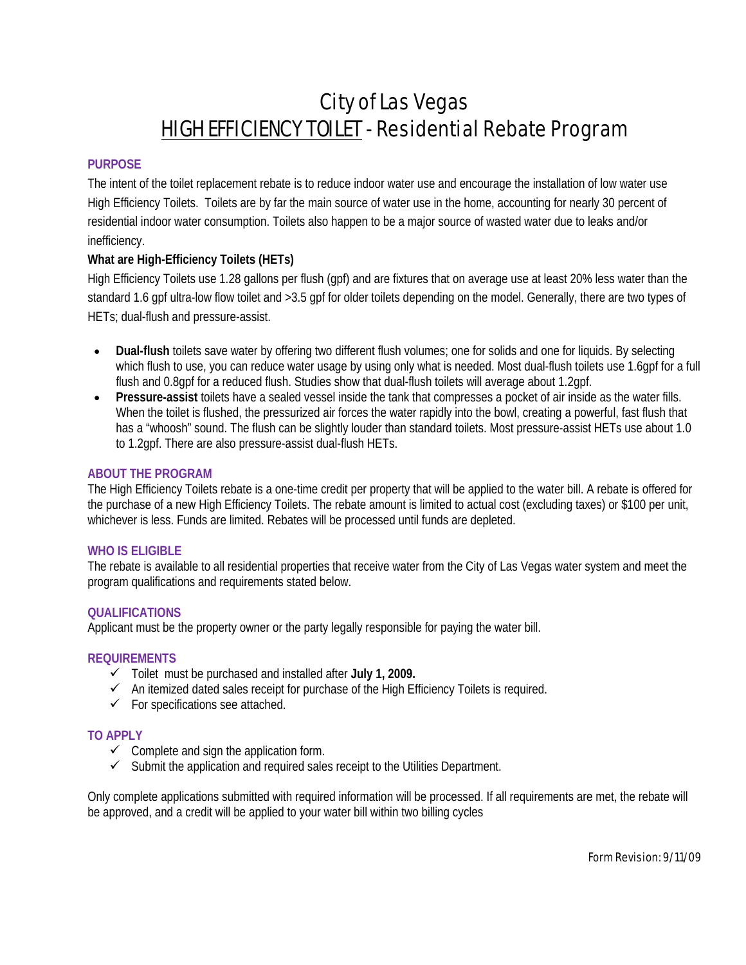# City of Las Vegas HIGH EFFICIENCY TOILET - Residential Rebate Program

# **PURPOSE**

The intent of the toilet replacement rebate is to reduce indoor water use and encourage the installation of low water use High Efficiency Toilets. Toilets are by far the main source of water use in the home, accounting for nearly 30 percent of residential indoor water consumption. Toilets also happen to be a major source of wasted water due to leaks and/or inefficiency.

# **What are High-Efficiency Toilets (HETs)**

High Efficiency Toilets use 1.28 gallons per flush (gpf) and are fixtures that on average use at least 20% less water than the standard 1.6 gpf ultra-low flow toilet and >3.5 gpf for older toilets depending on the model. Generally, there are two types of HETs; dual-flush and pressure-assist.

- Dual-flush toilets save water by offering two different flush volumes; one for solids and one for liquids. By selecting which flush to use, you can reduce water usage by using only what is needed. Most dual-flush toilets use 1.6gpf for a full flush and 0.8gpf for a reduced flush. Studies show that dual-flush toilets will average about 1.2gpf.
- **Pressure-assist** toilets have a sealed vessel inside the tank that compresses a pocket of air inside as the water fills. When the toilet is flushed, the pressurized air forces the water rapidly into the bowl, creating a powerful, fast flush that has a "whoosh" sound. The flush can be slightly louder than standard toilets. Most pressure-assist HETs use about 1.0 to 1.2gpf. There are also pressure-assist dual-flush HETs.

#### **ABOUT THE PROGRAM**

The High Efficiency Toilets rebate is a one-time credit per property that will be applied to the water bill. A rebate is offered for the purchase of a new High Efficiency Toilets. The rebate amount is limited to actual cost (excluding taxes) or \$100 per unit, whichever is less. Funds are limited. Rebates will be processed until funds are depleted.

#### **WHO IS ELIGIBLE**

The rebate is available to all residential properties that receive water from the City of Las Vegas water system and meet the program qualifications and requirements stated below.

#### **QUALIFICATIONS**

Applicant must be the property owner or the party legally responsible for paying the water bill.

#### **REQUIREMENTS**

- 9 Toilet must be purchased and installed after **July 1, 2009.**
- $\checkmark$  An itemized dated sales receipt for purchase of the High Efficiency Toilets is required.
- $\checkmark$  For specifications see attached.

#### **TO APPLY**

- $\checkmark$  Complete and sign the application form.
- $\checkmark$  Submit the application and required sales receipt to the Utilities Department.

Only complete applications submitted with required information will be processed. If all requirements are met, the rebate will be approved, and a credit will be applied to your water bill within two billing cycles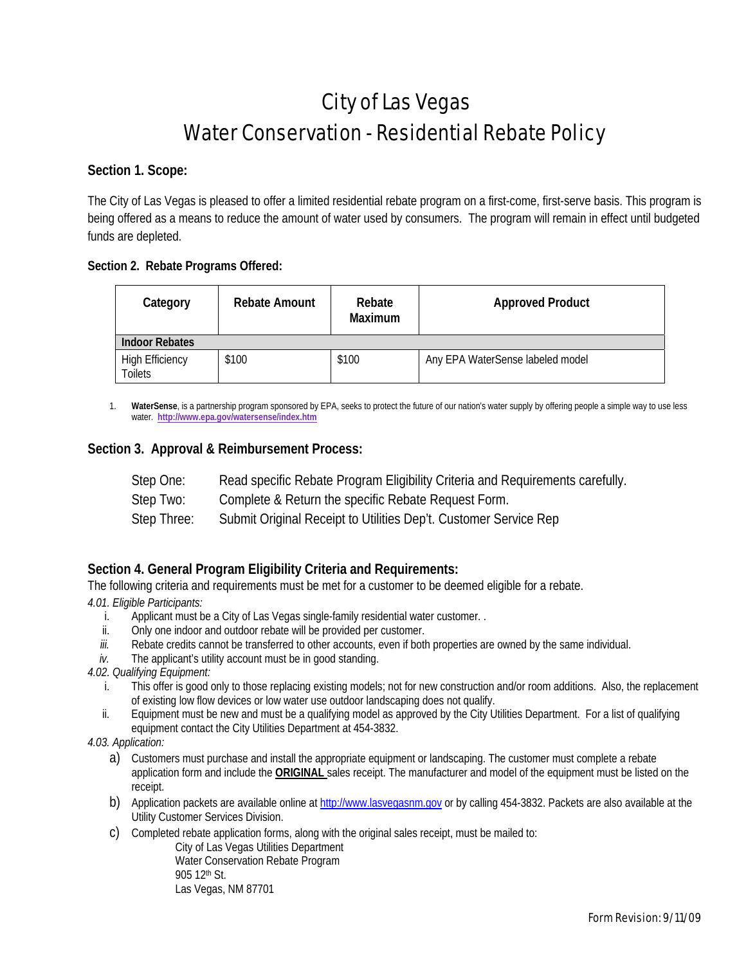# City of Las Vegas Water Conservation - Residential Rebate Policy

# **Section 1. Scope:**

The City of Las Vegas is pleased to offer a limited residential rebate program on a first-come, first-serve basis. This program is being offered as a means to reduce the amount of water used by consumers. The program will remain in effect until budgeted funds are depleted.

# **Section 2. Rebate Programs Offered:**

| Category                          | <b>Rebate Amount</b> | Rebate<br><b>Maximum</b> | <b>Approved Product</b>          |
|-----------------------------------|----------------------|--------------------------|----------------------------------|
| <b>Indoor Rebates</b>             |                      |                          |                                  |
| <b>High Efficiency</b><br>Toilets | \$100                | \$100                    | Any EPA WaterSense labeled model |

1. **WaterSense**, is a partnership program sponsored by EPA, seeks to protect the future of our nation's water supply by offering people a simple way to use less water. **http://www.epa.gov/watersense/index.htm**

# **Section 3. Approval & Reimbursement Process:**

| Step One: | Read specific Rebate Program Eligibility Criteria and Requirements carefully. |
|-----------|-------------------------------------------------------------------------------|
| Step Two: | Complete & Return the specific Rebate Request Form.                           |

Step Three: Submit Original Receipt to Utilities Dep't. Customer Service Rep

# **Section 4. General Program Eligibility Criteria and Requirements:**

The following criteria and requirements must be met for a customer to be deemed eligible for a rebate. *4.01. Eligible Participants:* 

- i. Applicant must be a City of Las Vegas single-family residential water customer. .
- ii. Only one indoor and outdoor rebate will be provided per customer.
- *iii.* Rebate credits cannot be transferred to other accounts, even if both properties are owned by the same individual.
- *iv.* The applicant's utility account must be in good standing.

*4.02. Qualifying Equipment:* 

- i. This offer is good only to those replacing existing models; not for new construction and/or room additions. Also, the replacement of existing low flow devices or low water use outdoor landscaping does not qualify.
- ii. Equipment must be new and must be a qualifying model as approved by the City Utilities Department. For a list of qualifying equipment contact the City Utilities Department at 454-3832.

*4.03. Application:* 

- a) Customers must purchase and install the appropriate equipment or landscaping. The customer must complete a rebate application form and include the **ORIGINAL** sales receipt. The manufacturer and model of the equipment must be listed on the receipt.
- b) Application packets are available online at http://www.lasvegasnm.gov or by calling 454-3832. Packets are also available at the Utility Customer Services Division.
- c) Completed rebate application forms, along with the original sales receipt, must be mailed to:

City of Las Vegas Utilities Department Water Conservation Rebate Program 905 12th St. Las Vegas, NM 87701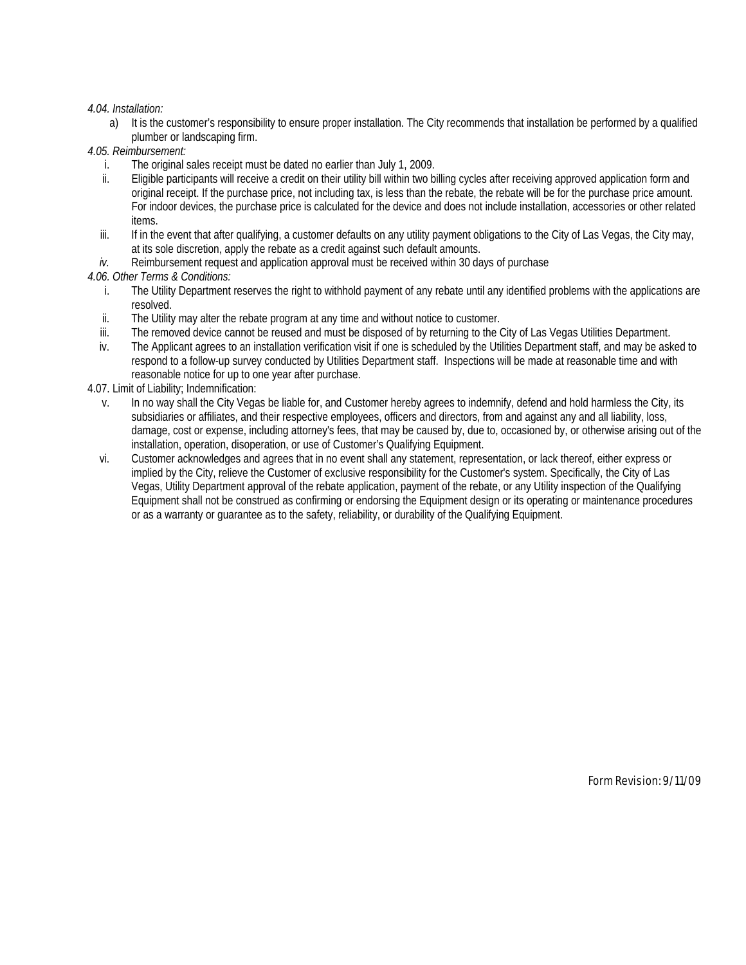#### *4.04. Installation:*

- a) It is the customer's responsibility to ensure proper installation. The City recommends that installation be performed by a qualified plumber or landscaping firm.
- *4.05. Reimbursement:* 
	- i. The original sales receipt must be dated no earlier than July 1, 2009.
	- ii. Eligible participants will receive a credit on their utility bill within two billing cycles after receiving approved application form and original receipt. If the purchase price, not including tax, is less than the rebate, the rebate will be for the purchase price amount. For indoor devices, the purchase price is calculated for the device and does not include installation, accessories or other related items.
	- iii. If in the event that after qualifying, a customer defaults on any utility payment obligations to the City of Las Vegas, the City may, at its sole discretion, apply the rebate as a credit against such default amounts.
	- *iv.* Reimbursement request and application approval must be received within 30 days of purchase

#### *4.06. Other Terms & Conditions:*

- i. The Utility Department reserves the right to withhold payment of any rebate until any identified problems with the applications are resolved.
- ii. The Utility may alter the rebate program at any time and without notice to customer.
- iii. The removed device cannot be reused and must be disposed of by returning to the City of Las Vegas Utilities Department.
- iv. The Applicant agrees to an installation verification visit if one is scheduled by the Utilities Department staff, and may be asked to respond to a follow-up survey conducted by Utilities Department staff. Inspections will be made at reasonable time and with reasonable notice for up to one year after purchase.
- 4.07. Limit of Liability; Indemnification:
	- v. In no way shall the City Vegas be liable for, and Customer hereby agrees to indemnify, defend and hold harmless the City, its subsidiaries or affiliates, and their respective employees, officers and directors, from and against any and all liability, loss, damage, cost or expense, including attorney's fees, that may be caused by, due to, occasioned by, or otherwise arising out of the installation, operation, disoperation, or use of Customer's Qualifying Equipment.
	- vi. Customer acknowledges and agrees that in no event shall any statement, representation, or lack thereof, either express or implied by the City, relieve the Customer of exclusive responsibility for the Customer's system. Specifically, the City of Las Vegas, Utility Department approval of the rebate application, payment of the rebate, or any Utility inspection of the Qualifying Equipment shall not be construed as confirming or endorsing the Equipment design or its operating or maintenance procedures or as a warranty or guarantee as to the safety, reliability, or durability of the Qualifying Equipment.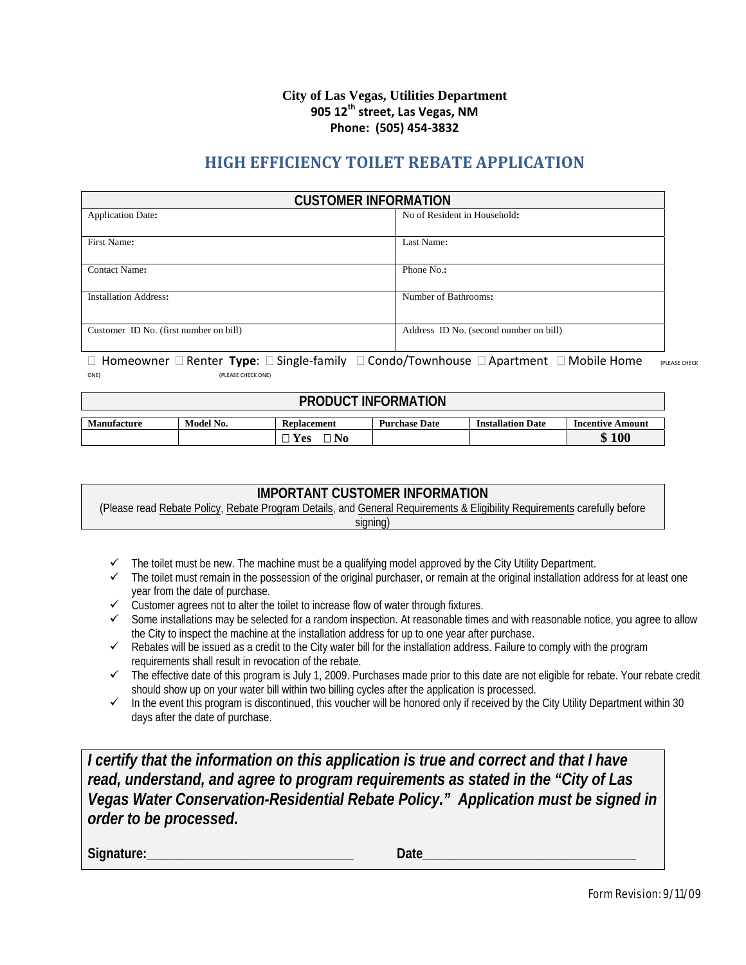#### **City of Las Vegas, Utilities Department 905 12th street, Las Vegas, NM Phone: (505) 454‐3832**

# **HIGH EFFICIENCY TOILET REBATE APPLICATION**

| <b>CUSTOMER INFORMATION</b>                              |                                        |  |  |
|----------------------------------------------------------|----------------------------------------|--|--|
| No of Resident in Household:<br><b>Application Date:</b> |                                        |  |  |
|                                                          |                                        |  |  |
| First Name:                                              | Last Name:                             |  |  |
| Contact Name:                                            | Phone No.:                             |  |  |
| <b>Installation Address:</b>                             | Number of Bathrooms:                   |  |  |
| Customer ID No. (first number on bill)                   | Address ID No. (second number on bill) |  |  |

#### Homeowner Renter **Type**: Single‐family Condo/Townhouse Apartment Mobile Home (PLEASE CHECK ONE) (PLEASE CHECK ONE)

| <b>PRODUCT INFORMATION</b> |                                                                                                         |  |  |  |  |  |
|----------------------------|---------------------------------------------------------------------------------------------------------|--|--|--|--|--|
| <b>Manufacture</b>         | Model No.<br><b>Installation Date</b><br><b>Purchase Date</b><br><b>Incentive Amount</b><br>Replacement |  |  |  |  |  |
|                            | \$100<br>$\square$ Yes<br>$\Box$ No                                                                     |  |  |  |  |  |

# **IMPORTANT CUSTOMER INFORMATION**

(Please read Rebate Policy, Rebate Program Details, and General Requirements & Eligibility Requirements carefully before signing)

- $\checkmark$  The toilet must be new. The machine must be a qualifying model approved by the City Utility Department.
- $\checkmark$  The toilet must remain in the possession of the original purchaser, or remain at the original installation address for at least one year from the date of purchase.
- year from the date of purchase.<br>► Customer agrees not to alter the toilet to increase flow of water through fixtures.
- $\checkmark$  Some installations may be selected for a random inspection. At reasonable times and with reasonable notice, you agree to allow the City to inspect the machine at the installation address for up to one year after purchase.
- $\checkmark$  Rebates will be issued as a credit to the City water bill for the installation address. Failure to comply with the program requirements shall result in revocation of the rebate.
- $\checkmark$  The effective date of this program is July 1, 2009. Purchases made prior to this date are not eligible for rebate. Your rebate credit should show up on your water bill within two billing cycles after the application is processed.
- $\checkmark$  In the event this program is discontinued, this voucher will be honored only if received by the City Utility Department within 30 days after the date of purchase.

*I certify that the information on this application is true and correct and that I have read, understand, and agree to program requirements as stated in the "City of Las Vegas Water Conservation-Residential Rebate Policy." Application must be signed in order to be processed.*

**Signature:\_\_\_\_\_\_\_\_\_\_\_\_\_\_\_\_\_\_\_\_\_\_\_\_\_\_\_\_\_\_\_ Date\_\_\_\_\_\_\_\_\_\_\_\_\_\_\_\_\_\_\_\_\_\_\_\_\_\_\_\_\_\_\_\_**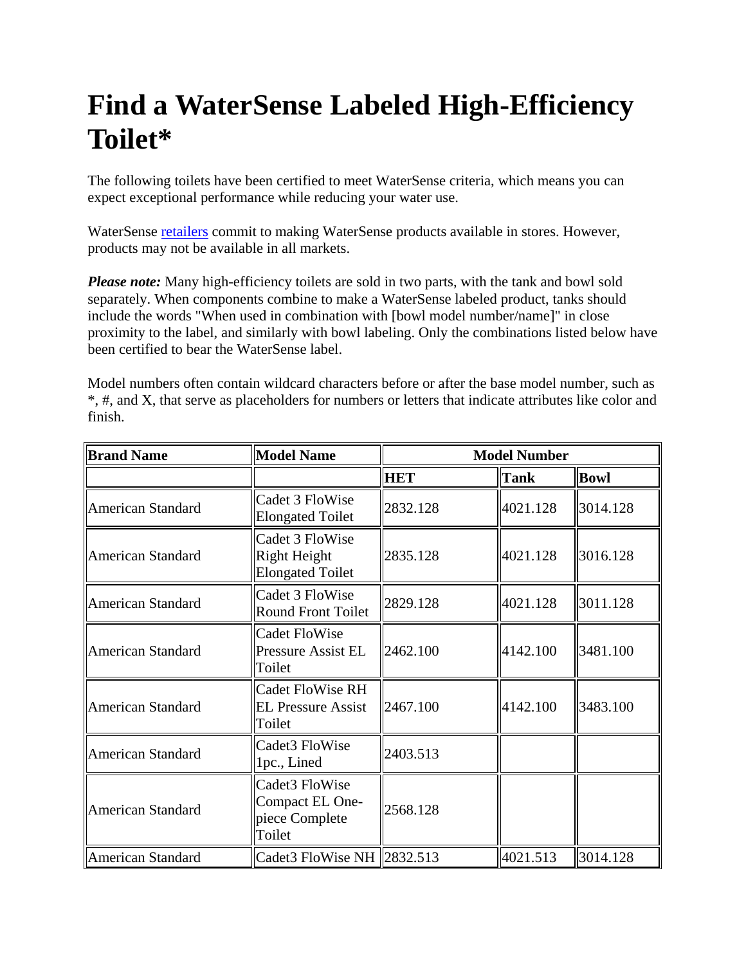# **Find a WaterSense Labeled High-Efficiency Toilet\***

The following toilets have been certified to meet WaterSense criteria, which means you can expect exceptional performance while reducing your water use.

WaterSense retailers commit to making WaterSense products available in stores. However, products may not be available in all markets.

*Please note:* Many high-efficiency toilets are sold in two parts, with the tank and bowl sold separately. When components combine to make a WaterSense labeled product, tanks should include the words "When used in combination with [bowl model number/name]" in close proximity to the label, and similarly with bowl labeling. Only the combinations listed below have been certified to bear the WaterSense label.

Model numbers often contain wildcard characters before or after the base model number, such as \*, #, and X, that serve as placeholders for numbers or letters that indicate attributes like color and finish.

| <b>Brand Name</b> | <b>Model Name</b>                                              | <b>Model Number</b> |             |             |
|-------------------|----------------------------------------------------------------|---------------------|-------------|-------------|
|                   |                                                                | <b>HET</b>          | <b>Tank</b> | <b>Bowl</b> |
| American Standard | Cadet 3 FloWise<br><b>Elongated Toilet</b>                     | 2832.128            | 4021.128    | 3014.128    |
| American Standard | Cadet 3 FloWise<br>Right Height<br><b>Elongated Toilet</b>     | 2835.128            | 4021.128    | 3016.128    |
| American Standard | Cadet 3 FloWise<br><b>Round Front Toilet</b>                   | 2829.128            | 4021.128    | 3011.128    |
| American Standard | <b>Cadet FloWise</b><br><b>Pressure Assist EL</b><br>Toilet    | 2462.100            | 4142.100    | 3481.100    |
| American Standard | <b>Cadet FloWise RH</b><br><b>EL Pressure Assist</b><br>Toilet | 2467.100            | 4142.100    | 3483.100    |
| American Standard | Cadet3 FloWise<br>1pc., Lined                                  | 2403.513            |             |             |
| American Standard | Cadet3 FloWise<br>Compact EL One-<br>piece Complete<br>Toilet  | 2568.128            |             |             |
| American Standard | Cadet3 FloWise NH 2832.513                                     |                     | 4021.513    | 3014.128    |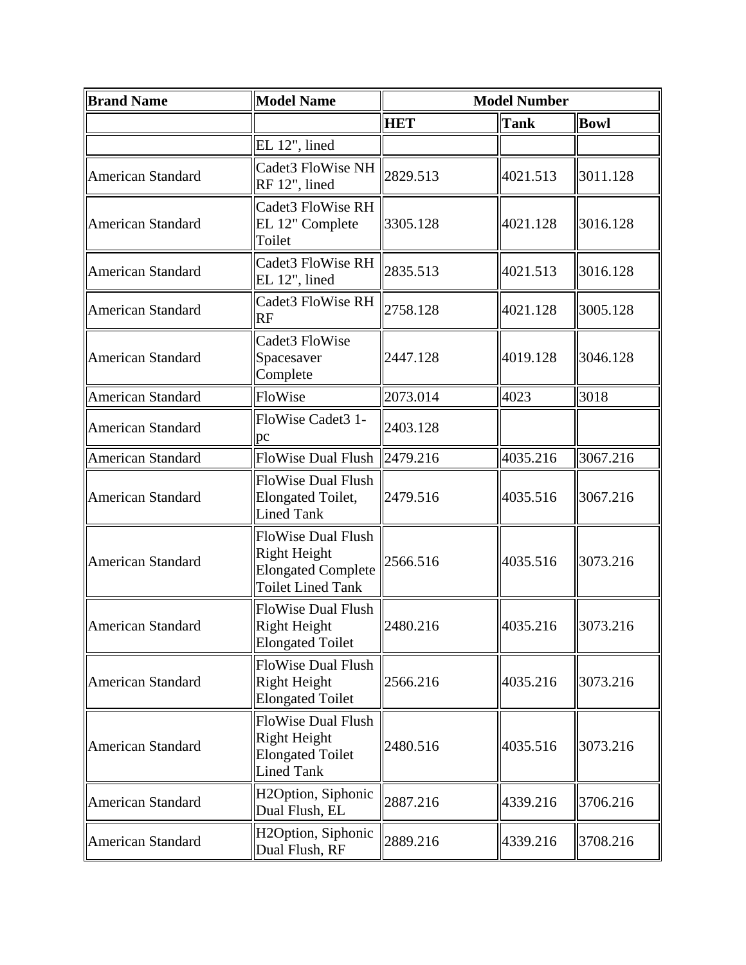| <b>Model Name</b><br><b>Brand Name</b> |                                                                                                           | <b>Model Number</b> |             |             |
|----------------------------------------|-----------------------------------------------------------------------------------------------------------|---------------------|-------------|-------------|
|                                        |                                                                                                           | <b>HET</b>          | <b>Tank</b> | <b>Bowl</b> |
|                                        | EL 12", lined                                                                                             |                     |             |             |
| <b>American Standard</b>               | Cadet3 FloWise NH<br>RF 12", lined                                                                        | 2829.513            | 4021.513    | 3011.128    |
| American Standard                      | Cadet3 FloWise RH<br>EL 12" Complete<br>Toilet                                                            | 3305.128            | 4021.128    | 3016.128    |
| <b>American Standard</b>               | Cadet3 FloWise RH<br>EL 12", lined                                                                        | 2835.513            | 4021.513    | 3016.128    |
| <b>American Standard</b>               | Cadet3 FloWise RH<br><b>RF</b>                                                                            | 2758.128            | 4021.128    | 3005.128    |
| <b>American Standard</b>               | Cadet3 FloWise<br>Spacesaver<br>Complete                                                                  | 2447.128            | 4019.128    | 3046.128    |
| <b>American Standard</b>               | FloWise                                                                                                   | 2073.014            | 4023        | 3018        |
| <b>American Standard</b>               | FloWise Cadet3 1-<br>pc                                                                                   | 2403.128            |             |             |
| <b>American Standard</b>               | <b>FloWise Dual Flush</b>                                                                                 | 2479.216            | 4035.216    | 3067.216    |
| <b>American Standard</b>               | <b>FloWise Dual Flush</b><br><b>Elongated Toilet,</b><br><b>Lined Tank</b>                                | 2479.516            | 4035.516    | 3067.216    |
| <b>American Standard</b>               | <b>FloWise Dual Flush</b><br><b>Right Height</b><br><b>Elongated Complete</b><br><b>Toilet Lined Tank</b> | 2566.516            | 4035.516    | 3073.216    |
| American Standard                      | <b>FloWise Dual Flush</b><br><b>Right Height</b><br><b>Elongated Toilet</b>                               | 2480.216            | 4035.216    | 3073.216    |
| <b>American Standard</b>               | <b>FloWise Dual Flush</b><br><b>Right Height</b><br><b>Elongated Toilet</b>                               | 2566.216            | 4035.216    | 3073.216    |
| <b>American Standard</b>               | <b>FloWise Dual Flush</b><br><b>Right Height</b><br><b>Elongated Toilet</b><br><b>Lined Tank</b>          | 2480.516            | 4035.516    | 3073.216    |
| <b>American Standard</b>               | H2Option, Siphonic<br>Dual Flush, EL                                                                      | 2887.216            | 4339.216    | 3706.216    |
| <b>American Standard</b>               | H2Option, Siphonic<br>Dual Flush, RF                                                                      | 2889.216            | 4339.216    | 3708.216    |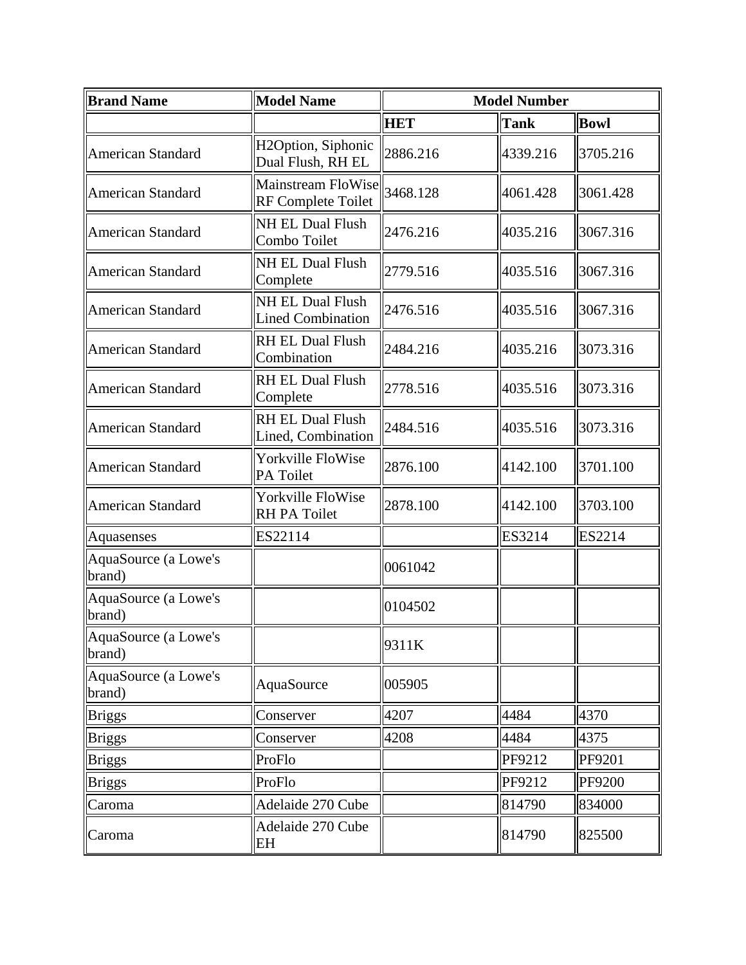| <b>Brand Name</b>              | <b>Model Name</b>                               |            | <b>Model Number</b> |               |
|--------------------------------|-------------------------------------------------|------------|---------------------|---------------|
|                                |                                                 | <b>HET</b> | <b>Tank</b>         | <b>Bowl</b>   |
| <b>American Standard</b>       | H2Option, Siphonic<br>Dual Flush, RH EL         | 2886.216   | 4339.216            | 3705.216      |
| <b>American Standard</b>       | Mainstream FloWise<br><b>RF Complete Toilet</b> | 3468.128   | 4061.428            | 3061.428      |
| <b>American Standard</b>       | <b>NH EL Dual Flush</b><br>Combo Toilet         | 2476.216   | 4035.216            | 3067.316      |
| American Standard              | <b>NH EL Dual Flush</b><br>Complete             | 2779.516   | 4035.516            | 3067.316      |
| <b>American Standard</b>       | NH EL Dual Flush<br><b>Lined Combination</b>    | 2476.516   | 4035.516            | 3067.316      |
| <b>American Standard</b>       | <b>RH EL Dual Flush</b><br>Combination          | 2484.216   | 4035.216            | 3073.316      |
| <b>American Standard</b>       | <b>RH EL Dual Flush</b><br>Complete             | 2778.516   | 4035.516            | 3073.316      |
| <b>American Standard</b>       | RH EL Dual Flush<br>Lined, Combination          | 2484.516   | 4035.516            | 3073.316      |
| <b>American Standard</b>       | Yorkville FloWise<br>PA Toilet                  | 2876.100   | 4142.100            | 3701.100      |
| <b>American Standard</b>       | Yorkville FloWise<br>RH PA Toilet               | 2878.100   | 4142.100            | 3703.100      |
| Aquasenses                     | ES22114                                         |            | ES3214              | ES2214        |
| AquaSource (a Lowe's<br>brand) |                                                 | 0061042    |                     |               |
| AquaSource (a Lowe's<br>brand) |                                                 | 0104502    |                     |               |
| AquaSource (a Lowe's<br>brand) |                                                 | 9311K      |                     |               |
| AquaSource (a Lowe's<br>brand) | AquaSource                                      | 005905     |                     |               |
| <b>Briggs</b>                  | Conserver                                       | 4207       | 4484                | 4370          |
| <b>Briggs</b>                  | Conserver                                       | 4208       | 4484                | 4375          |
| <b>Briggs</b>                  | ProFlo                                          |            | PF9212              | PF9201        |
| <b>Briggs</b>                  | ProFlo                                          |            | PF9212              | <b>PF9200</b> |
| Caroma                         | Adelaide 270 Cube                               |            | 814790              | 834000        |
| Caroma                         | Adelaide 270 Cube<br>EH                         |            | 814790              | 825500        |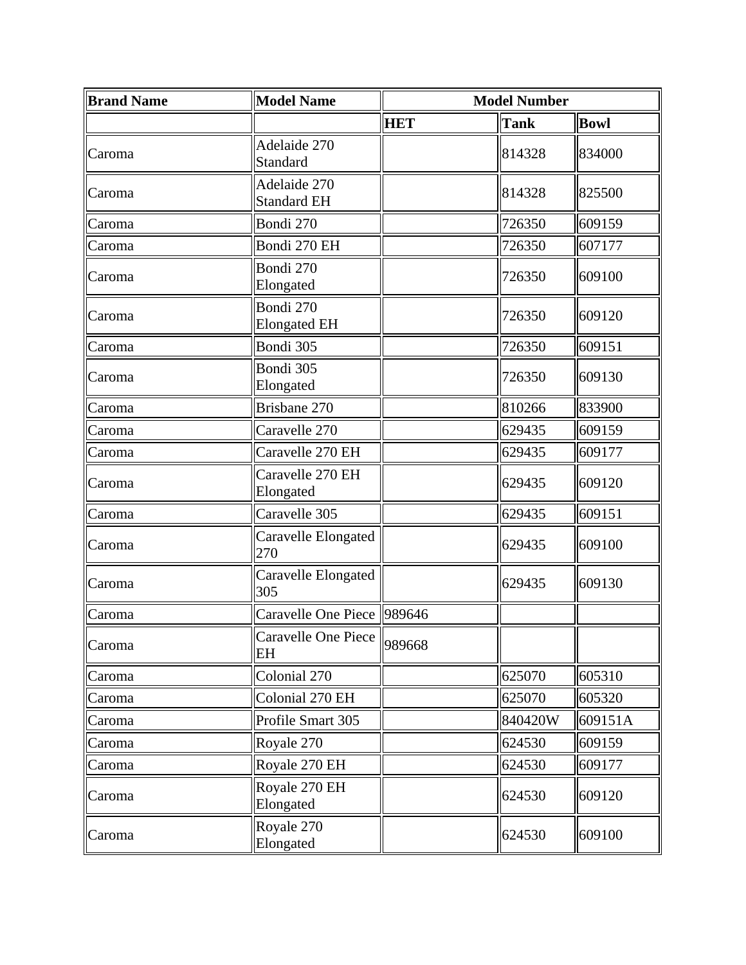| <b>Brand Name</b> | <b>Model Name</b>                  | <b>Model Number</b> |             |             |
|-------------------|------------------------------------|---------------------|-------------|-------------|
|                   |                                    | <b>HET</b>          | <b>Tank</b> | <b>Bowl</b> |
| Caroma            | Adelaide 270<br>Standard           |                     | 814328      | 834000      |
| Caroma            | Adelaide 270<br><b>Standard EH</b> |                     | 814328      | 825500      |
| Caroma            | Bondi 270                          |                     | 726350      | 609159      |
| Caroma            | Bondi 270 EH                       |                     | 726350      | 607177      |
| Caroma            | Bondi 270<br>Elongated             |                     | 726350      | 609100      |
| Caroma            | Bondi 270<br><b>Elongated EH</b>   |                     | 726350      | 609120      |
| Caroma            | Bondi 305                          |                     | 726350      | 609151      |
| Caroma            | Bondi 305<br>Elongated             |                     | 726350      | 609130      |
| Caroma            | Brisbane 270                       |                     | 810266      | 833900      |
| Caroma            | Caravelle 270                      |                     | 629435      | 609159      |
| Caroma            | Caravelle 270 EH                   |                     | 629435      | 609177      |
| Caroma            | Caravelle 270 EH<br>Elongated      |                     | 629435      | 609120      |
| Caroma            | Caravelle 305                      |                     | 629435      | 609151      |
| Caroma            | Caravelle Elongated<br>270         |                     | 629435      | 609100      |
| Caroma            | Caravelle Elongated<br>305         |                     | 629435      | 609130      |
| Caroma            | Caravelle One Piece 989646         |                     |             |             |
| Caroma            | Caravelle One Piece<br>EH          | 989668              |             |             |
| Caroma            | Colonial 270                       |                     | 625070      | 605310      |
| Caroma            | Colonial 270 EH                    |                     | 625070      | 605320      |
| Caroma            | Profile Smart 305                  |                     | 840420W     | 609151A     |
| Caroma            | Royale 270                         |                     | 624530      | 609159      |
| Caroma            | Royale 270 EH                      |                     | 624530      | 609177      |
| Caroma            | Royale 270 EH<br>Elongated         |                     | 624530      | 609120      |
| Caroma            | Royale 270<br>Elongated            |                     | 624530      | 609100      |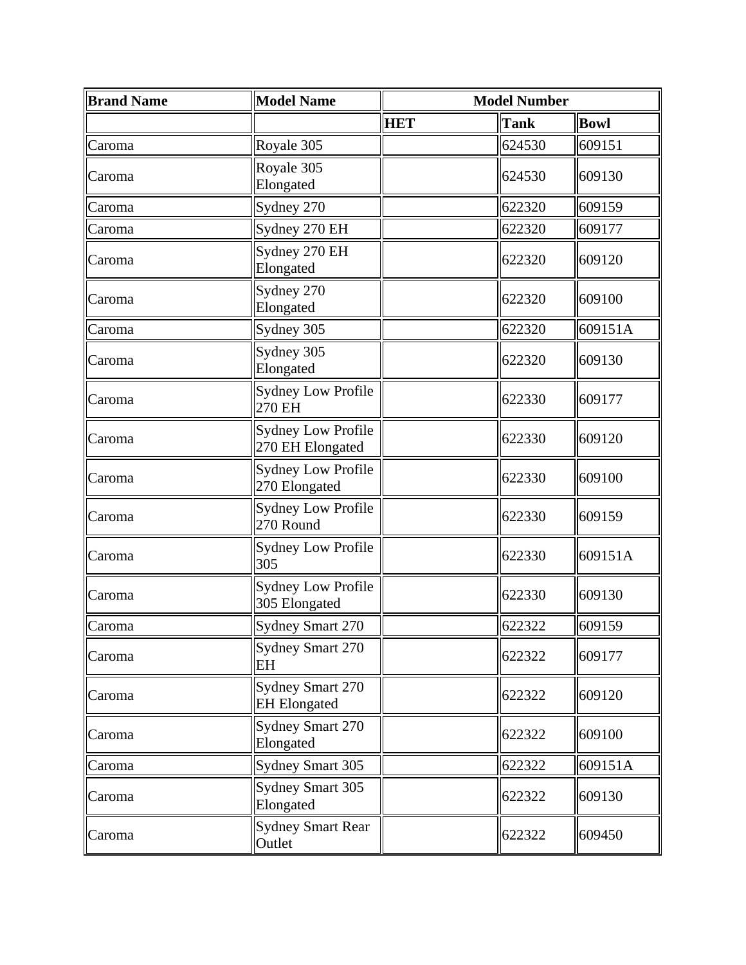| <b>Brand Name</b> | <b>Model Name</b>                              | <b>Model Number</b> |             |             |
|-------------------|------------------------------------------------|---------------------|-------------|-------------|
|                   |                                                | <b>HET</b>          | <b>Tank</b> | <b>Bowl</b> |
| Caroma            | Royale 305                                     |                     | 624530      | 609151      |
| Caroma            | Royale 305<br>Elongated                        |                     | 624530      | 609130      |
| Caroma            | Sydney 270                                     |                     | 622320      | 609159      |
| Caroma            | Sydney 270 EH                                  |                     | 622320      | 609177      |
| Caroma            | Sydney 270 EH<br>Elongated                     |                     | 622320      | 609120      |
| Caroma            | Sydney 270<br>Elongated                        |                     | 622320      | 609100      |
| Caroma            | Sydney 305                                     |                     | 622320      | 609151A     |
| Caroma            | Sydney 305<br>Elongated                        |                     | 622320      | 609130      |
| Caroma            | <b>Sydney Low Profile</b><br>270 EH            |                     | 622330      | 609177      |
| Caroma            | <b>Sydney Low Profile</b><br>270 EH Elongated  |                     | 622330      | 609120      |
| Caroma            | <b>Sydney Low Profile</b><br>270 Elongated     |                     | 622330      | 609100      |
| Caroma            | <b>Sydney Low Profile</b><br>270 Round         |                     | 622330      | 609159      |
| Caroma            | <b>Sydney Low Profile</b><br>305               |                     | 622330      | 609151A     |
| Caroma            | Sydney Low Profile<br>305 Elongated            |                     | 622330      | 609130      |
| Caroma            | Sydney Smart 270                               |                     | 622322      | 609159      |
| Caroma            | Sydney Smart 270<br>EH                         |                     | 622322      | 609177      |
| Caroma            | <b>Sydney Smart 270</b><br><b>EH</b> Elongated |                     | 622322      | 609120      |
| Caroma            | <b>Sydney Smart 270</b><br>Elongated           |                     | 622322      | 609100      |
| Caroma            | Sydney Smart 305                               |                     | 622322      | 609151A     |
| Caroma            | Sydney Smart 305<br>Elongated                  |                     | 622322      | 609130      |
| Caroma            | <b>Sydney Smart Rear</b><br>Outlet             |                     | 622322      | 609450      |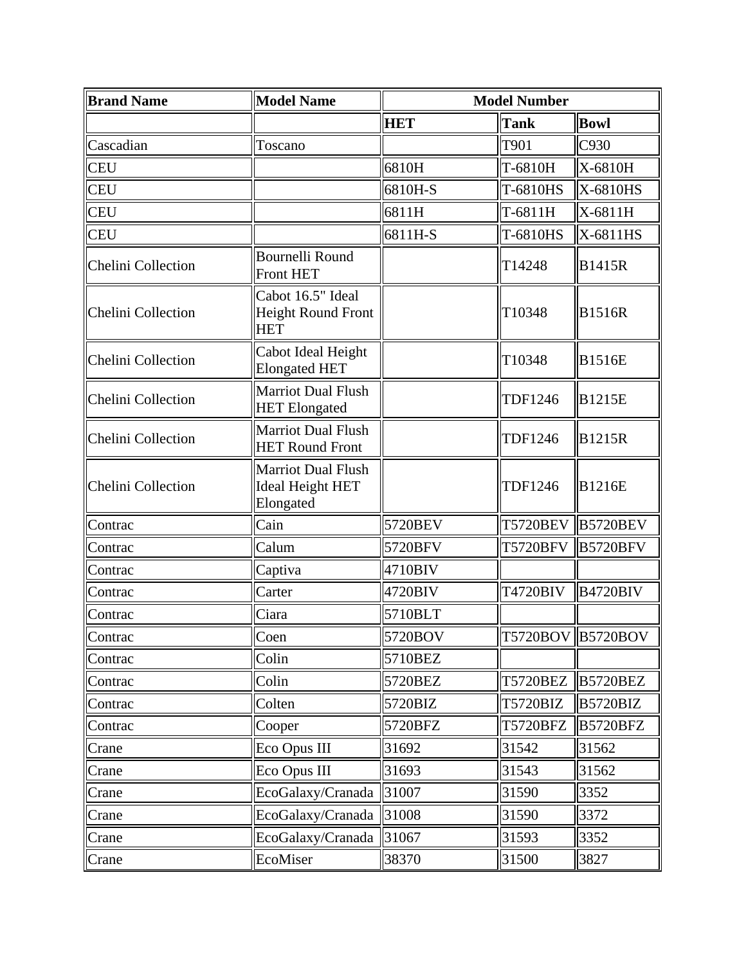| <b>Brand Name</b>         | <b>Model Name</b>                                                 | <b>Model Number</b> |                 |                   |
|---------------------------|-------------------------------------------------------------------|---------------------|-----------------|-------------------|
|                           |                                                                   | <b>HET</b>          | <b>Tank</b>     | <b>Bowl</b>       |
| Cascadian                 | Toscano                                                           |                     | T901            | C930              |
| <b>CEU</b>                |                                                                   | 6810H               | T-6810H         | X-6810H           |
| <b>CEU</b>                |                                                                   | 6810H-S             | T-6810HS        | X-6810HS          |
| <b>CEU</b>                |                                                                   | 6811H               | T-6811H         | X-6811H           |
| <b>CEU</b>                |                                                                   | 6811H-S             | T-6810HS        | X-6811HS          |
| <b>Chelini Collection</b> | Bournelli Round<br><b>Front HET</b>                               |                     | T14248          | <b>B1415R</b>     |
| Chelini Collection        | Cabot 16.5" Ideal<br><b>Height Round Front</b><br><b>HET</b>      |                     | T10348          | <b>B1516R</b>     |
| Chelini Collection        | Cabot Ideal Height<br><b>Elongated HET</b>                        |                     | T10348          | <b>B1516E</b>     |
| Chelini Collection        | <b>Marriot Dual Flush</b><br><b>HET</b> Elongated                 |                     | <b>TDF1246</b>  | <b>B1215E</b>     |
| Chelini Collection        | <b>Marriot Dual Flush</b><br><b>HET Round Front</b>               |                     | <b>TDF1246</b>  | <b>B1215R</b>     |
| Chelini Collection        | <b>Marriot Dual Flush</b><br><b>Ideal Height HET</b><br>Elongated |                     | <b>TDF1246</b>  | <b>B1216E</b>     |
| Contrac                   | Cain                                                              | 5720BEV             | <b>T5720BEV</b> | <b>B5720BEV</b>   |
| Contrac                   | Calum                                                             | 5720BFV             | <b>T5720BFV</b> | <b>B5720BFV</b>   |
| Contrac                   | Captiva                                                           | 4710BIV             |                 |                   |
| Contrac                   | Carter                                                            | 4720BIV             | <b>T4720BIV</b> | <b>B4720BIV</b>   |
| Contrac                   | Ciara                                                             | 5710BLT             |                 |                   |
| Contrac                   | Coen                                                              | 5720BOV             |                 | T5720BOV B5720BOV |
| Contrac                   | Colin                                                             | 5710BEZ             |                 |                   |
| Contrac                   | Colin                                                             | 5720BEZ             | <b>T5720BEZ</b> | <b>B5720BEZ</b>   |
| Contrac                   | Colten                                                            | 5720BIZ             | <b>T5720BIZ</b> | <b>B5720BIZ</b>   |
| Contrac                   | Cooper                                                            | 5720BFZ             | <b>T5720BFZ</b> | <b>B5720BFZ</b>   |
| Crane                     | Eco Opus III                                                      | 31692               | 31542           | 31562             |
| Crane                     | Eco Opus III                                                      | 31693               | 31543           | 31562             |
| Crane                     | EcoGalaxy/Cranada                                                 | 31007               | 31590           | 3352              |
| Crane                     | EcoGalaxy/Cranada                                                 | 31008               | 31590           | 3372              |
| Crane                     | EcoGalaxy/Cranada                                                 | 31067               | 31593           | 3352              |
| Crane                     | EcoMiser                                                          | 38370               | 31500           | 3827              |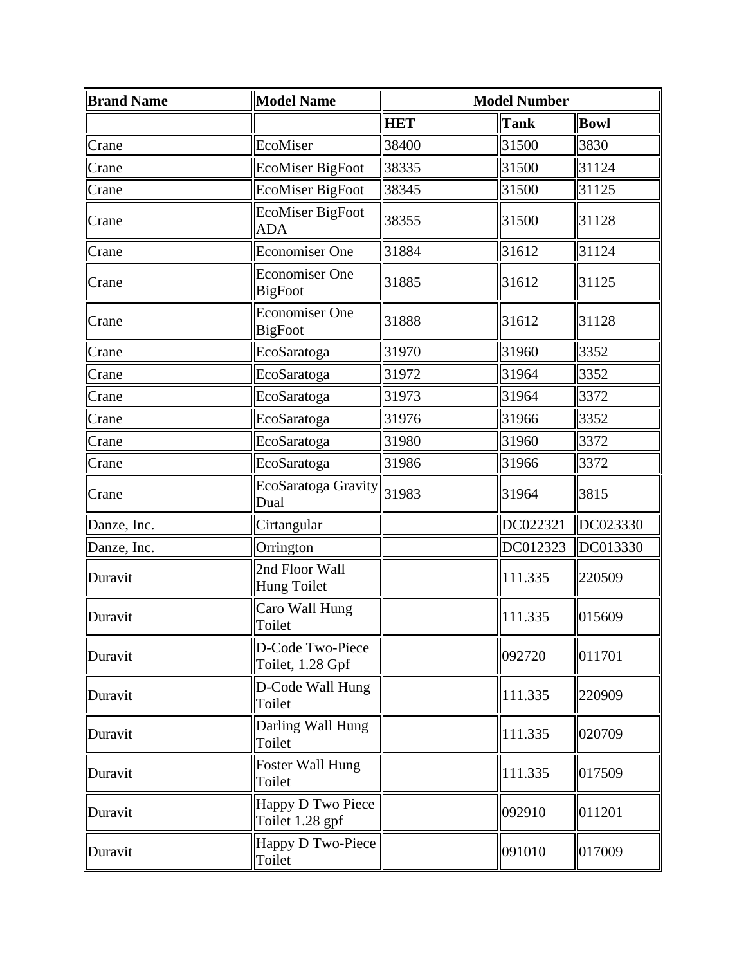| <b>Brand Name</b> | <b>Model Name</b>                       | <b>Model Number</b> |             |             |
|-------------------|-----------------------------------------|---------------------|-------------|-------------|
|                   |                                         | <b>HET</b>          | <b>Tank</b> | <b>Bowl</b> |
| Crane             | EcoMiser                                | 38400               | 31500       | 3830        |
| Crane             | <b>EcoMiser BigFoot</b>                 | 38335               | 31500       | 31124       |
| Crane             | <b>EcoMiser BigFoot</b>                 | 38345               | 31500       | 31125       |
| Crane             | <b>EcoMiser BigFoot</b><br><b>ADA</b>   | 38355               | 31500       | 31128       |
| Crane             | <b>Economiser One</b>                   | 31884               | 31612       | 31124       |
| Crane             | <b>Economiser One</b><br><b>BigFoot</b> | 31885               | 31612       | 31125       |
| Crane             | <b>Economiser One</b><br><b>BigFoot</b> | 31888               | 31612       | 31128       |
| Crane             | EcoSaratoga                             | 31970               | 31960       | 3352        |
| Crane             | EcoSaratoga                             | 31972               | 31964       | 3352        |
| Crane             | EcoSaratoga                             | 31973               | 31964       | 3372        |
| Crane             | EcoSaratoga                             | 31976               | 31966       | 3352        |
| Crane             | EcoSaratoga                             | 31980               | 31960       | 3372        |
| Crane             | EcoSaratoga                             | 31986               | 31966       | 3372        |
| Crane             | EcoSaratoga Gravity<br>Dual             | 31983               | 31964       | 3815        |
| Danze, Inc.       | Cirtangular                             |                     | DC022321    | DC023330    |
| Danze, Inc.       | Orrington                               |                     | DC012323    | DC013330    |
| Duravit           | 2nd Floor Wall<br><b>Hung Toilet</b>    |                     | 111.335     | 220509      |
| Duravit           | Caro Wall Hung<br>Toilet                |                     | 111.335     | 015609      |
| Duravit           | D-Code Two-Piece<br>Toilet, 1.28 Gpf    |                     | 092720      | 011701      |
| Duravit           | D-Code Wall Hung<br>Toilet              |                     | 111.335     | 220909      |
| Duravit           | Darling Wall Hung<br>Toilet             |                     | 111.335     | 020709      |
| Duravit           | <b>Foster Wall Hung</b><br>Toilet       |                     | 111.335     | 017509      |
| Duravit           | Happy D Two Piece<br>Toilet 1.28 gpf    |                     | 092910      | 011201      |
| Duravit           | Happy D Two-Piece<br>Toilet             |                     | 091010      | 017009      |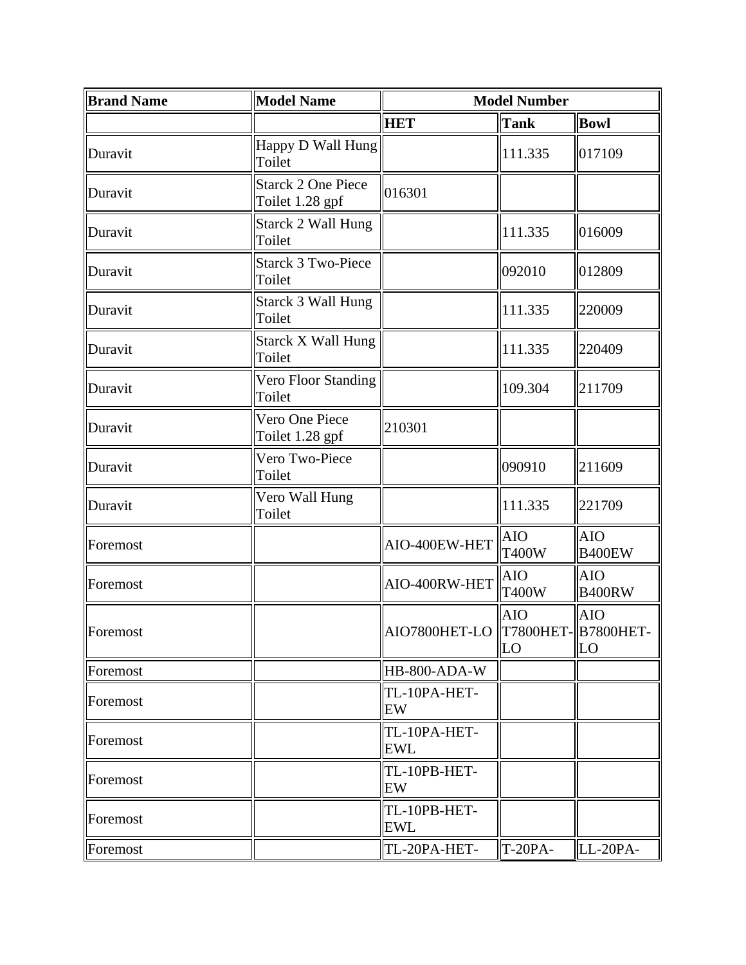| <b>Brand Name</b> | <b>Model Name</b>                            | <b>Model Number</b>                  |                            |                             |  |
|-------------------|----------------------------------------------|--------------------------------------|----------------------------|-----------------------------|--|
|                   |                                              | <b>HET</b>                           | <b>Tank</b>                | <b>Bowl</b>                 |  |
| Duravit           | Happy D Wall Hung<br>Toilet                  |                                      | 111.335                    | 017109                      |  |
| Duravit           | <b>Starck 2 One Piece</b><br>Toilet 1.28 gpf | 016301                               |                            |                             |  |
| Duravit           | <b>Starck 2 Wall Hung</b><br>Toilet          |                                      | 111.335                    | 016009                      |  |
| Duravit           | <b>Starck 3 Two-Piece</b><br>Toilet          |                                      | 092010                     | 012809                      |  |
| Duravit           | <b>Starck 3 Wall Hung</b><br>Toilet          |                                      | 111.335                    | 220009                      |  |
| Duravit           | <b>Starck X Wall Hung</b><br>Toilet          |                                      | 111.335                    | 220409                      |  |
| Duravit           | Vero Floor Standing<br>Toilet                |                                      | 109.304                    | 211709                      |  |
| Duravit           | Vero One Piece<br>Toilet 1.28 gpf            | 210301                               |                            |                             |  |
| Duravit           | Vero Two-Piece<br>Toilet                     |                                      | 090910                     | 211609                      |  |
| Duravit           | Vero Wall Hung<br>Toilet                     |                                      | 111.335                    | 221709                      |  |
| Foremost          |                                              | AIO-400EW-HET                        | <b>AIO</b><br><b>T400W</b> | <b>AIO</b><br><b>B400EW</b> |  |
| Foremost          |                                              | AIO-400RW-HET                        | <b>AIO</b><br><b>T400W</b> | <b>AIO</b><br><b>B400RW</b> |  |
| Foremost          |                                              | AIO7800HET-LO   T7800HET-  B7800HET- | <b>AIO</b><br>LO           | <b>AIO</b><br>LO            |  |
| Foremost          |                                              | HB-800-ADA-W                         |                            |                             |  |
| Foremost          |                                              | TL-10PA-HET-<br>EW                   |                            |                             |  |
| Foremost          |                                              | TL-10PA-HET-<br><b>EWL</b>           |                            |                             |  |
| Foremost          |                                              | TL-10PB-HET-<br>EW                   |                            |                             |  |
| Foremost          |                                              | TL-10PB-HET-<br><b>EWL</b>           |                            |                             |  |
| Foremost          |                                              | TL-20PA-HET-                         | T-20PA-                    | LL-20PA-                    |  |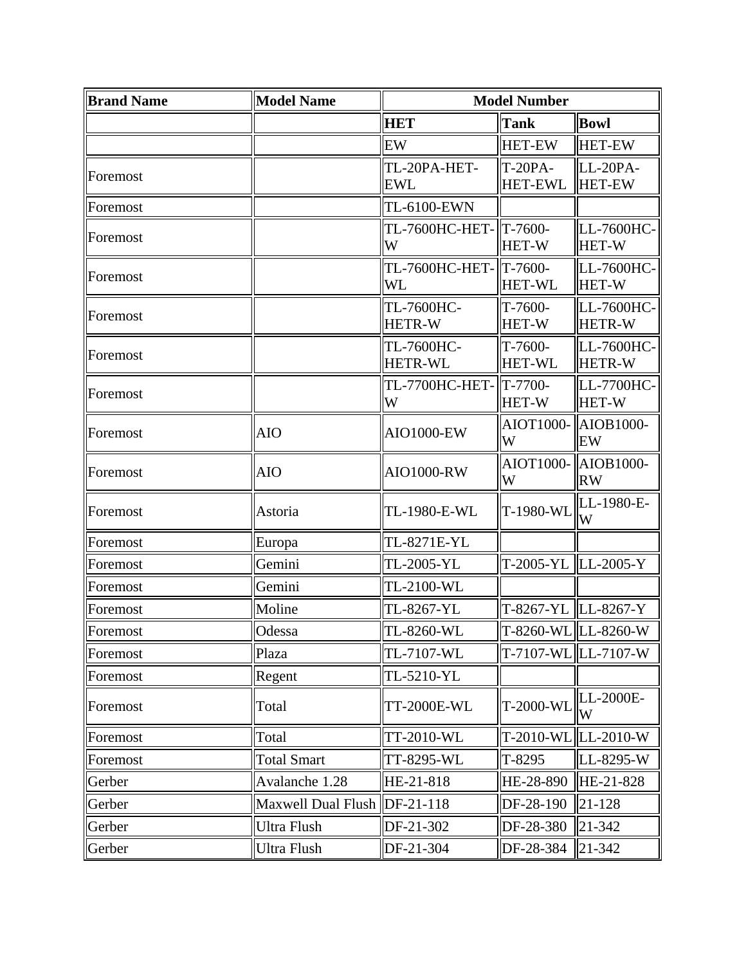| <b>Brand Name</b> | <b>Model Name</b>            | <b>Model Number</b>          |                                  |                             |
|-------------------|------------------------------|------------------------------|----------------------------------|-----------------------------|
|                   |                              | <b>HET</b>                   | Tank                             | <b>Bowl</b>                 |
|                   |                              | EW                           | <b>HET-EW</b>                    | <b>HET-EW</b>               |
| Foremost          |                              | TL-20PA-HET-<br><b>EWL</b>   | <b>T-20PA-</b><br><b>HET-EWL</b> | LL-20PA-<br><b>HET-EW</b>   |
| Foremost          |                              | <b>TL-6100-EWN</b>           |                                  |                             |
| Foremost          |                              | TL-7600HC-HET-  T-7600-<br>W | <b>HET-W</b>                     | LL-7600HC-<br><b>HET-W</b>  |
| Foremost          |                              | TL-7600HC-HET- T-7600-<br>WL | <b>HET-WL</b>                    | LL-7600HC-<br><b>HET-W</b>  |
| Foremost          |                              | TL-7600HC-<br><b>HETR-W</b>  | T-7600-<br><b>HET-W</b>          | LL-7600HC-<br><b>HETR-W</b> |
| Foremost          |                              | TL-7600HC-<br><b>HETR-WL</b> | T-7600-<br><b>HET-WL</b>         | LL-7600HC-<br><b>HETR-W</b> |
| Foremost          |                              | TL-7700HC-HET-<br>W          | $T - 7700 -$<br><b>HET-W</b>     | LL-7700HC-<br><b>HET-W</b>  |
| Foremost          | <b>AIO</b>                   | AIO1000-EW                   | AIOT1000-<br>W                   | AIOB1000-<br>EW             |
| Foremost          | <b>AIO</b>                   | AIO1000-RW                   | AIOT1000-<br>W                   | AIOB1000-<br><b>RW</b>      |
| Foremost          | Astoria                      | T-1980-WL<br>TL-1980-E-WL    |                                  | LL-1980-E-<br>W             |
| Foremost          | Europa                       | TL-8271E-YL                  |                                  |                             |
| Foremost          | Gemini                       | TL-2005-YL                   | T-2005-YL                        | $ LL-2005-Y$                |
| Foremost          | Gemini                       | TL-2100-WL                   |                                  |                             |
| Foremost          | Moline                       | TL-8267-YL                   | T-8267-YL LL-8267-Y              |                             |
| Foremost          | Odessa                       | TL-8260-WL                   |                                  | T-8260-WL LL-8260-W         |
| Foremost          | Plaza                        | TL-7107-WL                   |                                  | T-7107-WL LL-7107-W         |
| Foremost          | Regent                       | TL-5210-YL                   |                                  |                             |
| Foremost          | Total                        | T-2000-WL<br>TT-2000E-WL     |                                  | LL-2000E-<br>W              |
| Foremost          | Total                        | TT-2010-WL                   | T-2010-WL                        | LL-2010-W                   |
| Foremost          | <b>Total Smart</b>           | TT-8295-WL<br>T-8295         |                                  | LL-8295-W                   |
| Gerber            | Avalanche 1.28               | HE-21-818                    | HE-28-890                        | HE-21-828                   |
| Gerber            | Maxwell Dual Flush DF-21-118 |                              | DF-28-190                        | 21-128                      |
| Gerber            | Ultra Flush                  | DF-21-302                    | DF-28-380                        | 21-342                      |
| Gerber            | Ultra Flush                  | DF-21-304                    | DF-28-384                        | 21-342                      |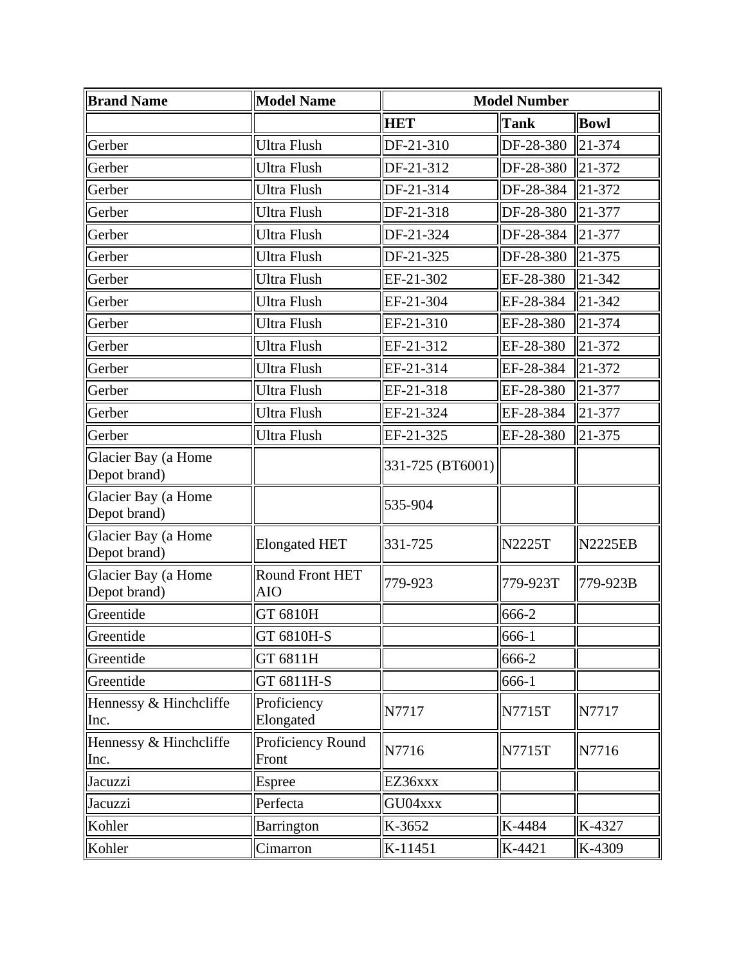| <b>Brand Name</b>                   | <b>Model Name</b>             | <b>Model Number</b> |               |                |
|-------------------------------------|-------------------------------|---------------------|---------------|----------------|
|                                     |                               | <b>HET</b>          | <b>Tank</b>   | <b>Bowl</b>    |
| Gerber                              | <b>Ultra Flush</b>            | DF-21-310           | DF-28-380     | 21-374         |
| Gerber                              | <b>Ultra Flush</b>            | DF-21-312           | DF-28-380     | 21-372         |
| Gerber                              | <b>Ultra Flush</b>            | DF-21-314           | DF-28-384     | 21-372         |
| Gerber                              | <b>Ultra Flush</b>            | DF-21-318           | DF-28-380     | 21-377         |
| Gerber                              | <b>Ultra Flush</b>            | DF-21-324           | DF-28-384     | 21-377         |
| Gerber                              | <b>Ultra Flush</b>            | DF-21-325           | DF-28-380     | 21-375         |
| Gerber                              | <b>Ultra Flush</b>            | EF-21-302           | EF-28-380     | 21-342         |
| Gerber                              | <b>Ultra Flush</b>            | EF-21-304           | EF-28-384     | 21-342         |
| Gerber                              | <b>Ultra Flush</b>            | EF-21-310           | EF-28-380     | 21-374         |
| Gerber                              | Ultra Flush                   | EF-21-312           | EF-28-380     | 21-372         |
| Gerber                              | Ultra Flush                   | EF-21-314           | EF-28-384     | 21-372         |
| Gerber                              | <b>Ultra Flush</b>            | EF-21-318           | EF-28-380     | 21-377         |
| Gerber                              | <b>Ultra Flush</b>            | EF-21-324           | EF-28-384     | 21-377         |
| Gerber                              | <b>Ultra Flush</b>            | EF-21-325           | EF-28-380     | 21-375         |
| Glacier Bay (a Home<br>Depot brand) |                               | 331-725 (BT6001)    |               |                |
| Glacier Bay (a Home<br>Depot brand) |                               | 535-904             |               |                |
| Glacier Bay (a Home<br>Depot brand) | <b>Elongated HET</b>          | 331-725             | <b>N2225T</b> | <b>N2225EB</b> |
| Glacier Bay (a Home<br>Depot brand) | Round Front HET<br><b>AIO</b> | 779-923             | 779-923T      | 779-923B       |
| Greentide                           | GT 6810H                      |                     | 666-2         |                |
| Greentide                           | GT 6810H-S                    |                     | 666-1         |                |
| Greentide                           | GT 6811H                      |                     | 666-2         |                |
| Greentide                           | GT 6811H-S                    |                     | 666-1         |                |
| Hennessy & Hinchcliffe<br>Inc.      | Proficiency<br>Elongated      | N7717               | N7715T        | N7717          |
| Hennessy & Hinchcliffe<br>Inc.      | Proficiency Round<br>Front    | N7716               | N7715T        | N7716          |
| Jacuzzi                             | Espree                        | EZ36xxx             |               |                |
| Jacuzzi                             | Perfecta                      | GU04xxx             |               |                |
| Kohler                              | Barrington                    | K-3652              | K-4484        | K-4327         |
| Kohler                              | Cimarron                      | K-11451             | K-4421        | K-4309         |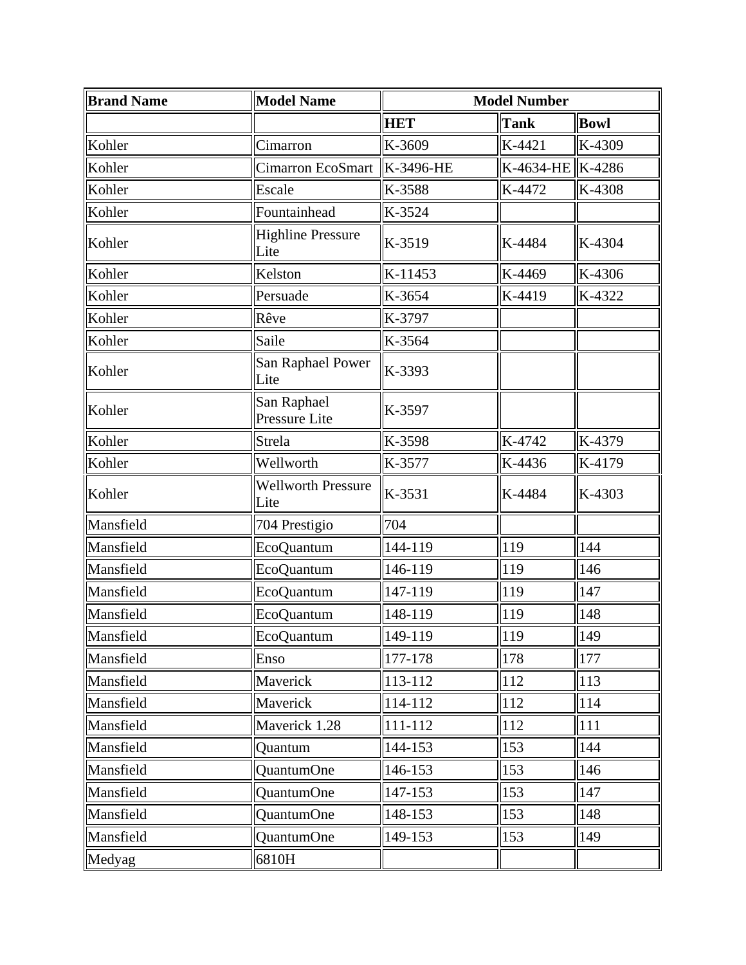| <b>Brand Name</b> | <b>Model Name</b>                 | <b>Model Number</b> |                  |             |
|-------------------|-----------------------------------|---------------------|------------------|-------------|
|                   |                                   | <b>HET</b>          | <b>Tank</b>      | <b>Bowl</b> |
| Kohler            | Cimarron                          | K-3609              | K-4421           | K-4309      |
| Kohler            | Cimarron EcoSmart                 | K-3496-HE           | K-4634-HE K-4286 |             |
| Kohler            | Escale                            | K-3588              | K-4472           | K-4308      |
| Kohler            | Fountainhead                      | K-3524              |                  |             |
| Kohler            | <b>Highline Pressure</b><br>Lite  | K-3519              | K-4484           | K-4304      |
| Kohler            | Kelston                           | K-11453             | K-4469           | K-4306      |
| Kohler            | Persuade                          | K-3654              | K-4419           | K-4322      |
| Kohler            | Rêve                              | K-3797              |                  |             |
| Kohler            | Saile                             | K-3564              |                  |             |
| Kohler            | San Raphael Power<br>Lite         | K-3393              |                  |             |
| Kohler            | San Raphael<br>Pressure Lite      | K-3597              |                  |             |
| Kohler            | Strela                            | K-3598              | K-4742           | K-4379      |
| Kohler            | Wellworth                         | K-3577              | K-4436           | K-4179      |
| Kohler            | <b>Wellworth Pressure</b><br>Lite | K-3531              | K-4484           | K-4303      |
| Mansfield         | 704 Prestigio                     | 704                 |                  |             |
| Mansfield         | EcoQuantum                        | 144-119             | 119              | 144         |
| Mansfield         | EcoQuantum                        | 146-119             | 119              | 146         |
| Mansfield         | EcoQuantum                        | 147-119             | 119              | 147         |
| Mansfield         | EcoQuantum                        | 148-119             | 119              | 148         |
| Mansfield         | EcoQuantum                        | 149-119             | 119              | 149         |
| Mansfield         | Enso                              | 177-178             | 178              | 177         |
| Mansfield         | Maverick                          | 113-112             | 112              | 113         |
| Mansfield         | Maverick                          | 114-112             | 112              | 114         |
| Mansfield         | Maverick 1.28                     | 111-112             | 112              | 111         |
| Mansfield         | Quantum                           | 144-153             | 153              | 144         |
| Mansfield         | <b>QuantumOne</b>                 | 146-153             | 153              | 146         |
| Mansfield         | QuantumOne                        | 147-153             | 153              | 147         |
| Mansfield         | <b>QuantumOne</b>                 | 148-153             | 153              | 148         |
| Mansfield         | QuantumOne                        | 149-153             | 153              | 149         |
| Medyag            | 6810H                             |                     |                  |             |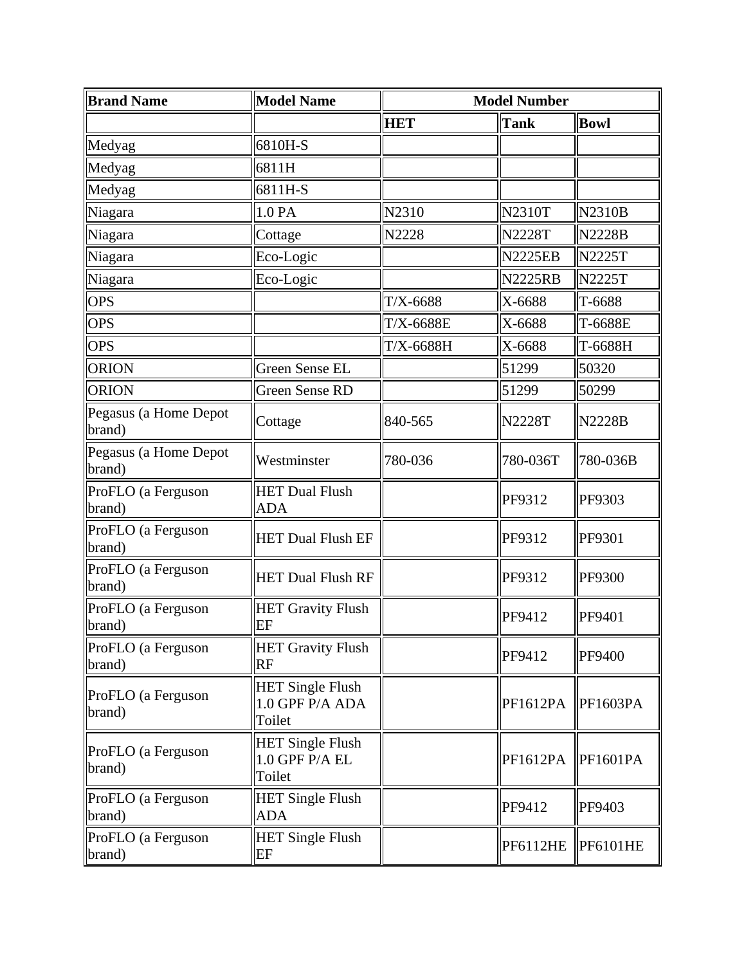| <b>Brand Name</b>               | <b>Model Name</b>                                    | <b>Model Number</b> |                 |                 |
|---------------------------------|------------------------------------------------------|---------------------|-----------------|-----------------|
|                                 |                                                      | <b>HET</b>          | Tank            | <b>Bowl</b>     |
| Medyag                          | 6810H-S                                              |                     |                 |                 |
| Medyag                          | 6811H                                                |                     |                 |                 |
| Medyag                          | 6811H-S                                              |                     |                 |                 |
| Niagara                         | 1.0 PA                                               | N2310               | <b>N2310T</b>   | <b>N2310B</b>   |
| Niagara                         | Cottage                                              | N2228               | <b>N2228T</b>   | <b>N2228B</b>   |
| Niagara                         | Eco-Logic                                            |                     | <b>N2225EB</b>  | <b>N2225T</b>   |
| Niagara                         | Eco-Logic                                            |                     | <b>N2225RB</b>  | <b>N2225T</b>   |
| <b>OPS</b>                      |                                                      | $T/X-6688$          | X-6688          | T-6688          |
| <b>OPS</b>                      |                                                      | $T/X-6688E$         | X-6688          | T-6688E         |
| <b>OPS</b>                      |                                                      | $T/X-6688H$         | X-6688          | T-6688H         |
| <b>ORION</b>                    | Green Sense EL                                       |                     | 51299           | 50320           |
| <b>ORION</b>                    | <b>Green Sense RD</b>                                |                     | 51299           | 50299           |
| Pegasus (a Home Depot<br>brand) | Cottage                                              | 840-565             | <b>N2228T</b>   | <b>N2228B</b>   |
| Pegasus (a Home Depot<br>brand) | Westminster                                          | 780-036             | 780-036T        | 780-036B        |
| ProFLO (a Ferguson<br>brand)    | <b>HET Dual Flush</b><br><b>ADA</b>                  |                     | PF9312          | PF9303          |
| ProFLO (a Ferguson<br>brand)    | <b>HET Dual Flush EF</b>                             |                     | PF9312          | PF9301          |
| ProFLO (a Ferguson<br>brand)    | <b>HET Dual Flush RF</b>                             |                     | PF9312          | PF9300          |
| ProFLO (a Ferguson<br>brand)    | <b>HET Gravity Flush</b><br>EF                       |                     | PF9412          | PF9401          |
| ProFLO (a Ferguson<br>brand)    | <b>HET Gravity Flush</b><br><b>RF</b>                |                     | PF9412          | PF9400          |
| ProFLO (a Ferguson<br>brand)    | <b>HET Single Flush</b><br>1.0 GPF P/A ADA<br>Toilet |                     | PF1612PA        | <b>PF1603PA</b> |
| ProFLO (a Ferguson<br>brand)    | <b>HET Single Flush</b><br>1.0 GPF P/A EL<br>Toilet  |                     | PF1612PA        | <b>PF1601PA</b> |
| ProFLO (a Ferguson<br>brand)    | <b>HET Single Flush</b><br><b>ADA</b>                |                     | PF9412          | PF9403          |
| ProFLO (a Ferguson<br>brand)    | <b>HET Single Flush</b><br>EF                        |                     | <b>PF6112HE</b> | <b>PF6101HE</b> |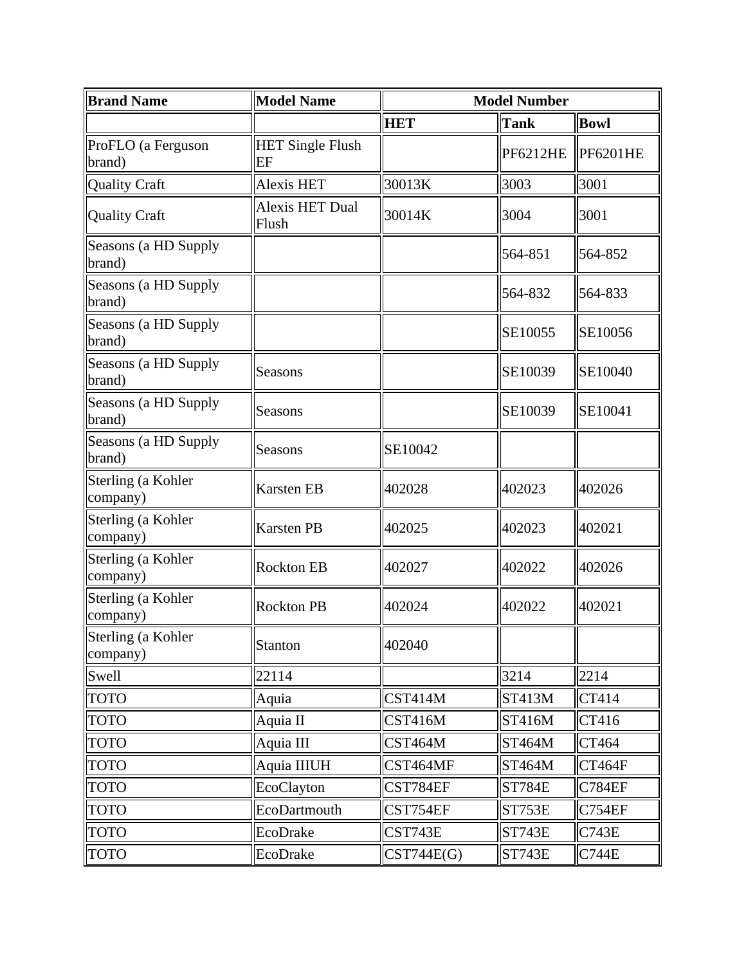| <b>Brand Name</b>              | <b>Model Name</b>               | <b>Model Number</b> |                 |                 |
|--------------------------------|---------------------------------|---------------------|-----------------|-----------------|
|                                |                                 | <b>HET</b>          | <b>Tank</b>     | <b>Bowl</b>     |
| ProFLO (a Ferguson<br>brand)   | <b>HET Single Flush</b><br>EF   |                     | <b>PF6212HE</b> | <b>PF6201HE</b> |
| <b>Quality Craft</b>           | <b>Alexis HET</b>               | 30013K              | 3003            | 3001            |
| <b>Quality Craft</b>           | <b>Alexis HET Dual</b><br>Flush | 30014K              | 3004            | 3001            |
| Seasons (a HD Supply<br>brand) |                                 |                     | 564-851         | 564-852         |
| Seasons (a HD Supply<br>brand) |                                 |                     | 564-832         | 564-833         |
| Seasons (a HD Supply<br>brand) |                                 |                     | SE10055         | SE10056         |
| Seasons (a HD Supply<br>brand) | Seasons                         |                     | SE10039         | SE10040         |
| Seasons (a HD Supply<br>brand) | Seasons                         |                     | SE10039         | SE10041         |
| Seasons (a HD Supply<br>brand) | <b>Seasons</b>                  | SE10042             |                 |                 |
| Sterling (a Kohler<br>company) | <b>Karsten EB</b>               | 402028              | 402023          | 402026          |
| Sterling (a Kohler<br>company) | <b>Karsten PB</b>               | 402025              | 402023          | 402021          |
| Sterling (a Kohler<br>company) | <b>Rockton EB</b>               | 402027              | 402022          | 402026          |
| Sterling (a Kohler<br>company) | <b>Rockton PB</b>               | 402024              | 402022          | 402021          |
| Sterling (a Kohler<br>company) | Stanton                         | 402040              |                 |                 |
| Swell                          | 22114                           |                     | 3214            | 2214            |
| <b>TOTO</b>                    | Aquia                           | CST414M             | <b>ST413M</b>   | CT414           |
| <b>TOTO</b>                    | Aquia II                        | CST416M             | <b>ST416M</b>   | CT416           |
| <b>TOTO</b>                    | Aquia III                       | CST464M             | <b>ST464M</b>   | CT464           |
| <b>TOTO</b>                    | Aquia IIIUH                     | CST464MF            | <b>ST464M</b>   | CT464F          |
| <b>TOTO</b>                    | EcoClayton                      | CST784EF            | <b>ST784E</b>   | <b>C784EF</b>   |
| <b>TOTO</b>                    | EcoDartmouth                    | CST754EF            | ST753E          | <b>C754EF</b>   |
| <b>TOTO</b>                    | EcoDrake                        | CST743E             | <b>ST743E</b>   | <b>C743E</b>    |
| <b>TOTO</b>                    | EcoDrake                        | CST744E(G)          | <b>ST743E</b>   | <b>C744E</b>    |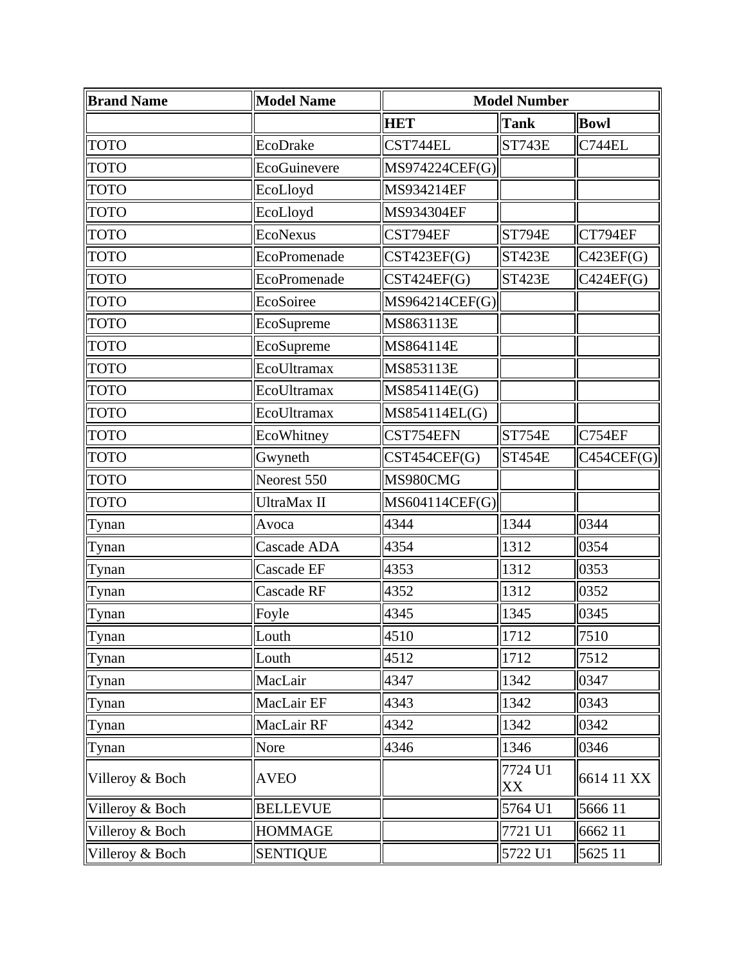| <b>Brand Name</b> | <b>Model Name</b> |                | <b>Model Number</b> |               |  |
|-------------------|-------------------|----------------|---------------------|---------------|--|
|                   |                   | <b>HET</b>     | <b>Tank</b>         | <b>Bowl</b>   |  |
| <b>TOTO</b>       | EcoDrake          | CST744EL       | ST743E              | <b>C744EL</b> |  |
| <b>TOTO</b>       | EcoGuinevere      |                | MS974224CEF(G)      |               |  |
| <b>TOTO</b>       | EcoLloyd          | MS934214EF     |                     |               |  |
| <b>TOTO</b>       | EcoLloyd          | MS934304EF     |                     |               |  |
| <b>TOTO</b>       | <b>EcoNexus</b>   | CST794EF       | <b>ST794E</b>       | CT794EF       |  |
| TOTO              | EcoPromenade      | CST423EF(G)    | <b>ST423E</b>       | C423EF(G)     |  |
| <b>TOTO</b>       | EcoPromenade      | CST424EF(G)    | <b>ST423E</b>       | C424EF(G)     |  |
| <b>TOTO</b>       | EcoSoiree         | MS964214CEF(G) |                     |               |  |
| <b>TOTO</b>       | EcoSupreme        | MS863113E      |                     |               |  |
| <b>TOTO</b>       | EcoSupreme        | MS864114E      |                     |               |  |
| <b>TOTO</b>       | EcoUltramax       | MS853113E      |                     |               |  |
| <b>TOTO</b>       | EcoUltramax       | MS854114E(G)   |                     |               |  |
| <b>TOTO</b>       | EcoUltramax       | MS854114EL(G)  |                     |               |  |
| <b>TOTO</b>       | EcoWhitney        | CST754EFN      | <b>ST754E</b>       | <b>C754EF</b> |  |
| <b>TOTO</b>       | Gwyneth           | CST454CEF(G)   | <b>ST454E</b>       | C454CEF(G)    |  |
| <b>TOTO</b>       | Neorest 550       | MS980CMG       |                     |               |  |
| <b>TOTO</b>       | UltraMax II       | MS604114CEF(G) |                     |               |  |
| Tynan             | Avoca             | 4344           | 1344                | 0344          |  |
| Tynan             | Cascade ADA       | 4354           | 1312                | 0354          |  |
| Tynan             | Cascade EF        | 4353           | 1312                | 0353          |  |
| Tynan             | Cascade RF        | 4352           | 1312                | 0352          |  |
| Tynan             | Foyle             | 4345           | 1345                | 0345          |  |
| Tynan             | Louth             | 4510           | 1712                | 7510          |  |
| Tynan             | Louth             | 4512           | 1712                | 7512          |  |
| Tynan             | MacLair           | 4347           | 1342                | 0347          |  |
| Tynan             | MacLair EF        | 4343           | 1342                | 0343          |  |
| Tynan             | MacLair RF        | 4342           | 1342                | 0342          |  |
| Tynan             | Nore              | 4346           | 1346                | 0346          |  |
| Villeroy & Boch   | <b>AVEO</b>       | 7724 U1<br>XX  |                     | 6614 11 XX    |  |
| Villeroy & Boch   | <b>BELLEVUE</b>   |                | 5764 U1             | 5666 11       |  |
| Villeroy & Boch   | <b>HOMMAGE</b>    |                | 7721 U1             | 6662 11       |  |
| Villeroy & Boch   | <b>SENTIQUE</b>   |                | 5722 U1             | 5625 11       |  |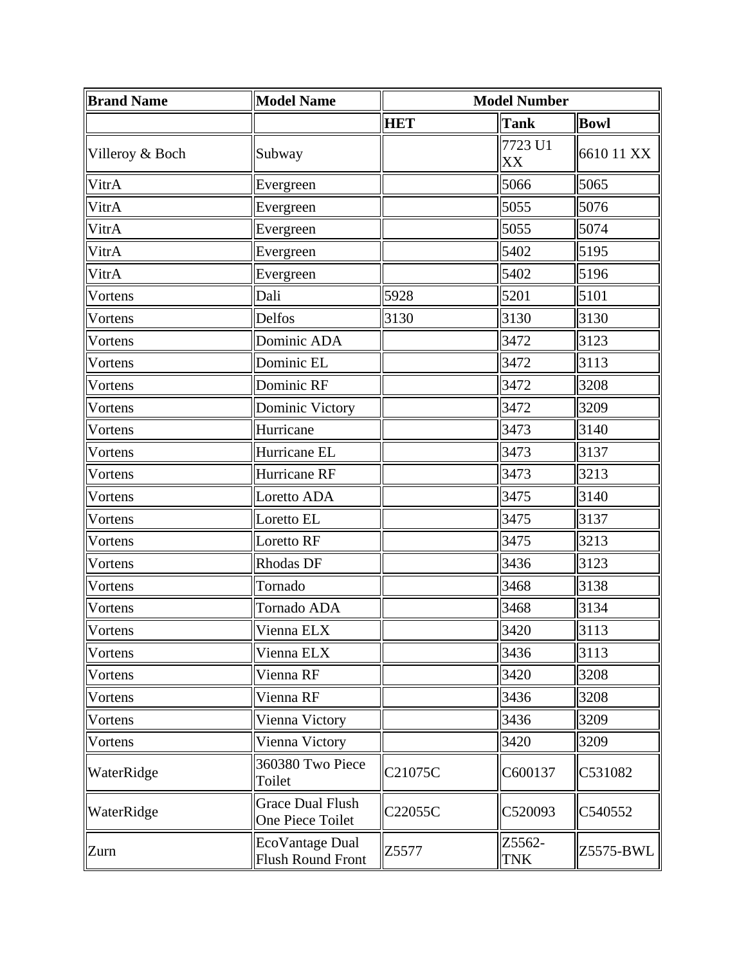| <b>Brand Name</b> | <b>Model Name</b>                           | <b>Model Number</b> |                      |             |
|-------------------|---------------------------------------------|---------------------|----------------------|-------------|
|                   |                                             | <b>HET</b>          | <b>Tank</b>          | <b>Bowl</b> |
| Villeroy & Boch   | Subway                                      |                     | 7723 U1<br>XX        | 6610 11 XX  |
| VitrA             | Evergreen                                   |                     | 5066                 | 5065        |
| VitrA             | Evergreen                                   |                     | 5055                 | 5076        |
| VitrA             | Evergreen                                   |                     | 5055                 | 5074        |
| VitrA             | Evergreen                                   |                     | 5402                 | 5195        |
| VitrA             | Evergreen                                   |                     | 5402                 | 5196        |
| Vortens           | Dali                                        | 5928                | 5201                 | 5101        |
| Vortens           | Delfos                                      | 3130                | 3130                 | 3130        |
| Vortens           | Dominic ADA                                 |                     | 3472                 | 3123        |
| Vortens           | Dominic EL                                  |                     | 3472                 | 3113        |
| Vortens           | Dominic RF                                  |                     | 3472                 | 3208        |
| Vortens           | Dominic Victory                             |                     | 3472                 | 3209        |
| Vortens           | Hurricane                                   |                     | 3473                 | 3140        |
| Vortens           | Hurricane EL                                |                     | 3473                 | 3137        |
| Vortens           | Hurricane RF                                |                     | 3473                 | 3213        |
| Vortens           | Loretto ADA                                 |                     | 3475                 | 3140        |
| Vortens           | Loretto EL                                  |                     | 3475                 | 3137        |
| Vortens           | Loretto RF                                  |                     | 3475                 | 3213        |
| Vortens           | <b>Rhodas DF</b>                            |                     | 3436                 | 3123        |
| Vortens           | Tornado                                     |                     | 3468                 | 3138        |
| Vortens           | Tornado ADA                                 |                     | 3468                 | 3134        |
| <b>Vortens</b>    | Vienna ELX                                  |                     | 3420                 | 3113        |
| Vortens           | Vienna ELX                                  |                     | 3436                 | 3113        |
| Vortens           | Vienna RF                                   |                     | 3420                 | 3208        |
| Vortens           | Vienna RF                                   |                     | 3436                 | 3208        |
| Vortens           | Vienna Victory                              |                     | 3436                 | 3209        |
| Vortens           | Vienna Victory                              |                     | 3420                 | 3209        |
| WaterRidge        | 360380 Two Piece<br>Toilet                  | C21075C             | C600137              | C531082     |
| WaterRidge        | <b>Grace Dual Flush</b><br>One Piece Toilet | C22055C             | C520093              | C540552     |
| Zurn              | EcoVantage Dual<br><b>Flush Round Front</b> | Z5577               | Z5562-<br><b>TNK</b> | Z5575-BWL   |